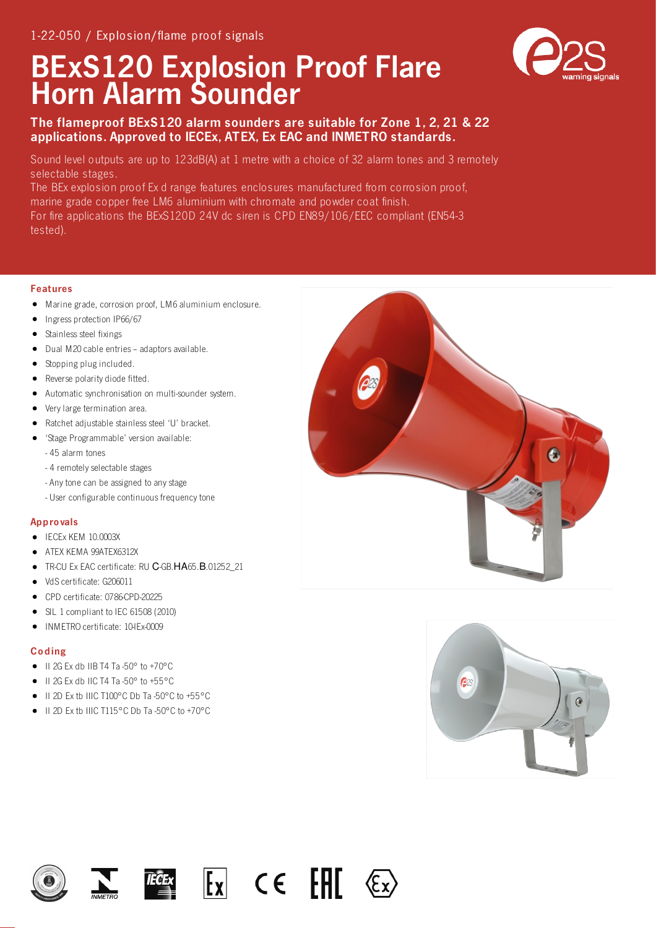# BExS120 Explosion Proof Flare Horn Alarm Sounder



## The flameproof BExS120 alarm sounders are suitable for Zone 1, 2, 21 & 22 applications. Approved to IECEx, ATEX, Ex EAC and INMETRO standards.

Sound level outputs are up to 123dB(A) at 1 metre with a choice of 32 alarm tones and 3 remotely selectable stages.

The BEx explosion proof Ex d range features enclosures manufactured from corrosion proof, marine grade copper free LM6 aluminium with chromate and powder coat finish. For fire applications the BExS120D 24V dc siren is CPD EN89/106/EEC compliant (EN54-3 tested).

#### Features

- Marine grade, corrosion proof, LM6 aluminium enclosure.  $\bullet$
- $\bullet$ Ingress protection IP66/67
- Stainless steel fixings
- Dual M20 cable entries adaptors available.
- Stopping plug included.
- Reverse polarity diode fitted.
- Automatic synchronisation on multi-sounder system.
- Very large termination area.
- Ratchet adjustable stainless steel 'U' bracket.
- 'Stage Programmable' version available:
	- 45 alarm tones
	- 4 remotely selectable stages
	- Any tone can be assigned to any stage
	- User configurable continuous frequency tone

#### **Approvals**

- $\bullet$  IECEx KEM 10.0003X
- ATEX KEMA 99ATEX6312X
- TR-CU Ex EAC certificate: RU С-GB.НА65.В.01252\_21
- $\bullet$  VdS certificate: G206011
- CPD certificate: 0786-CPD-20225
- SIL 1 compliant to IEC 61508 (2010)
- INMETRO certificate: 10-IEx-0009  $\bullet$

### Co ding

- $\bullet$  II 2G Ex db IIB T4 Ta -50° to +70°C
- II 2G Ex db IIC T4 Ta -50° to +55°C
- II 2D Ex tb IIIC T100°C Db Ta -50°C to +55°C
- $\bullet$  II 2D Ex th IIIC T115°C Db Ta -50°C to +70°C











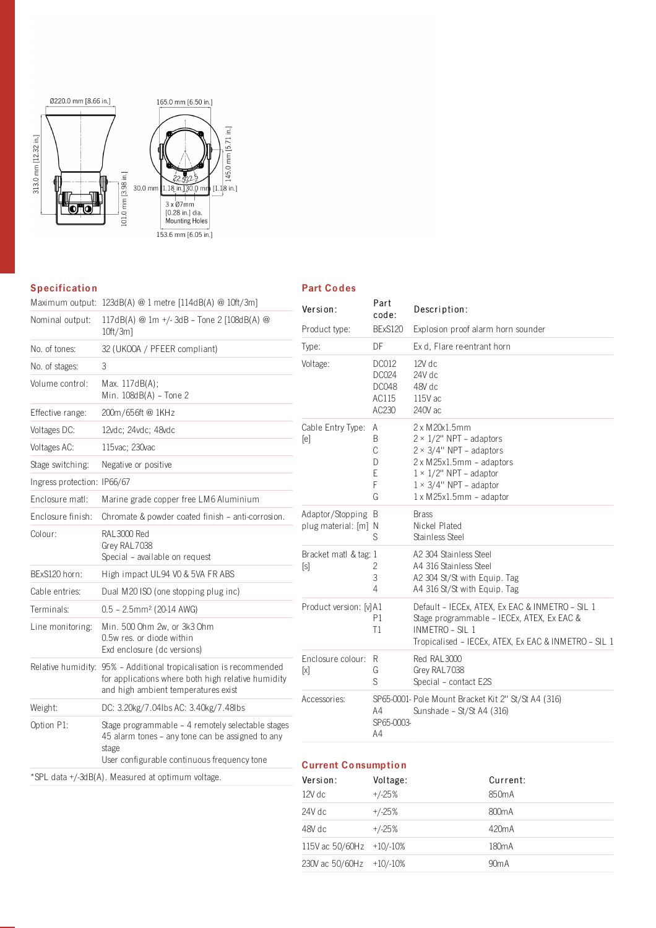

### **Specification**

#### Part Co des

|                             | Maximum output: 123dB(A) @ 1 metre [114dB(A) @ 10ft/3m]                                                                                                         | Version:                                   | Part                    | Description:                                                                                                                                                                                                                                             |
|-----------------------------|-----------------------------------------------------------------------------------------------------------------------------------------------------------------|--------------------------------------------|-------------------------|----------------------------------------------------------------------------------------------------------------------------------------------------------------------------------------------------------------------------------------------------------|
| Nominal output:             | 117dB(A) @ 1m +/-3dB - Tone 2 [108dB(A) @<br>$10ft/3m$ ]                                                                                                        | Product type:                              | code:<br><b>BExS120</b> | Explosion proof alarm horn sounder                                                                                                                                                                                                                       |
| No. of tones:               | 32 (UKOOA / PFEER compliant)                                                                                                                                    | Type:                                      | DF                      | Ex d. Flare re-entrant horn                                                                                                                                                                                                                              |
| No. of stages:              | 3                                                                                                                                                               | Voltage:                                   | <b>DC012</b><br>DC024   | 12V dc<br>24V dc                                                                                                                                                                                                                                         |
| Volume control:             | Max. 117dB(A);<br>Min. $108dB(A)$ - Tone 2                                                                                                                      |                                            | <b>DC048</b><br>AC115   | 48V dc<br>115V ac                                                                                                                                                                                                                                        |
| Effective range:            | 200m/656ft@1KHz                                                                                                                                                 |                                            | AC230                   | 240V ac                                                                                                                                                                                                                                                  |
| Voltages DC:                | 12vdc; 24vdc; 48vdc                                                                                                                                             | Cable Entry Type:<br>[ <sub>e</sub> ]      | A                       | 2 x M 20x1.5mm                                                                                                                                                                                                                                           |
| Voltages AC:                | 115vac; 230vac                                                                                                                                                  |                                            | B<br>C                  | $2 \times 1/2$ " NPT - adaptors<br>$2 \times 3/4$ " NPT - adaptors<br>2 x M25x1.5mm - adaptors<br>$1 \times 1/2$ " NPT - adaptor<br>$1 \times 3/4$ " NPT - adaptor<br>$1 \times M25x1.5mm$ - adaptor<br><b>Brass</b><br>Nickel Plated<br>Stainless Steel |
| Stage switching:            | Negative or positive                                                                                                                                            |                                            | D                       |                                                                                                                                                                                                                                                          |
| Ingress protection: IP66/67 |                                                                                                                                                                 |                                            | E<br>F                  |                                                                                                                                                                                                                                                          |
| Enclosure matl:             | Marine grade copper free LM6 Aluminium                                                                                                                          |                                            | G                       |                                                                                                                                                                                                                                                          |
| Enclosure finish:           | Chromate & powder coated finish - anti-corrosion.                                                                                                               | Adaptor/Stopping B<br>plug material: [m] N |                         |                                                                                                                                                                                                                                                          |
| Colour:                     | RAL3000 Red<br>Grey RAL7038<br>Special - available on request                                                                                                   |                                            | S                       |                                                                                                                                                                                                                                                          |
|                             |                                                                                                                                                                 | Bracket matl & tag: 1                      |                         | A2 304 Stainless Steel                                                                                                                                                                                                                                   |
| BExS120 horn:               | High impact UL94 VO & 5VA FR ABS                                                                                                                                | [s]                                        | 2<br>3                  | A4 316 Stainless Steel<br>A2 304 St/St with Equip. Tag<br>A4 316 St/St with Equip. Tag                                                                                                                                                                   |
| Cable entries:              | Dual M20 ISO (one stopping plug inc)                                                                                                                            |                                            | 4                       |                                                                                                                                                                                                                                                          |
| Terminals:                  | $0.5 - 2.5$ mm <sup>2</sup> (20-14 AWG)                                                                                                                         | Product version: [v]A1                     | P1<br>T1                | Default - IECEx, ATEX, Ex EAC & INMETRO - SIL 1<br>Stage programmable - IECEx, ATEX, Ex EAC &<br>INMETRO - SIL 1<br>Tropicalised - IECEx, ATEX, Ex EAC & INMETRO - SIL 1                                                                                 |
| Line monitoring:            | Min. 500 Ohm 2w, or 3k3 Ohm<br>0.5w res. or diode within<br>Exd enclosure (dc versions)                                                                         |                                            |                         |                                                                                                                                                                                                                                                          |
|                             | Relative humidity: 95% - Additional tropicalisation is recommended<br>for applications where both high relative humidity<br>and high ambient temperatures exist | Enclosure colour: R<br>$[ \times ]$        | G<br>S                  | Red RAL3000<br>Grey RAL7038<br>Special - contact E2S                                                                                                                                                                                                     |
| Weight:                     | DC: 3.20kg/7.04lbs AC: 3.40kg/7.48lbs                                                                                                                           | Accessories:                               | A4                      | SP65-0001- Pole Mount Bracket Kit 2" St/St A4 (316)<br>Sunshade - St/St A4 (316)                                                                                                                                                                         |
| Option P1:                  | Stage programmable - 4 remotely selectable stages<br>45 alarm tones - any tone can be assigned to any<br>stage<br>User configurable continuous frequency tone   | <b>Current Consumption</b>                 | SP65-0003-<br>A4        |                                                                                                                                                                                                                                                          |
|                             |                                                                                                                                                                 |                                            |                         |                                                                                                                                                                                                                                                          |

\*SPL data +/-3dB(A). Measured at optimum voltage.

| Version:                 | Voltage: | Current:           |  |
|--------------------------|----------|--------------------|--|
| $12V$ dc                 | $+/-25%$ | 850 <sub>m</sub> A |  |
| 24V dc                   | $+/-25%$ | 800 <sub>m</sub> A |  |
| 48V dc                   | $+/-25%$ | 420mA              |  |
| 115V ac 50/60Hz +10/-10% |          | 180 <sub>m</sub> A |  |
| 230V ac 50/60Hz          | +10/-10% | 90 <sub>m</sub> A  |  |